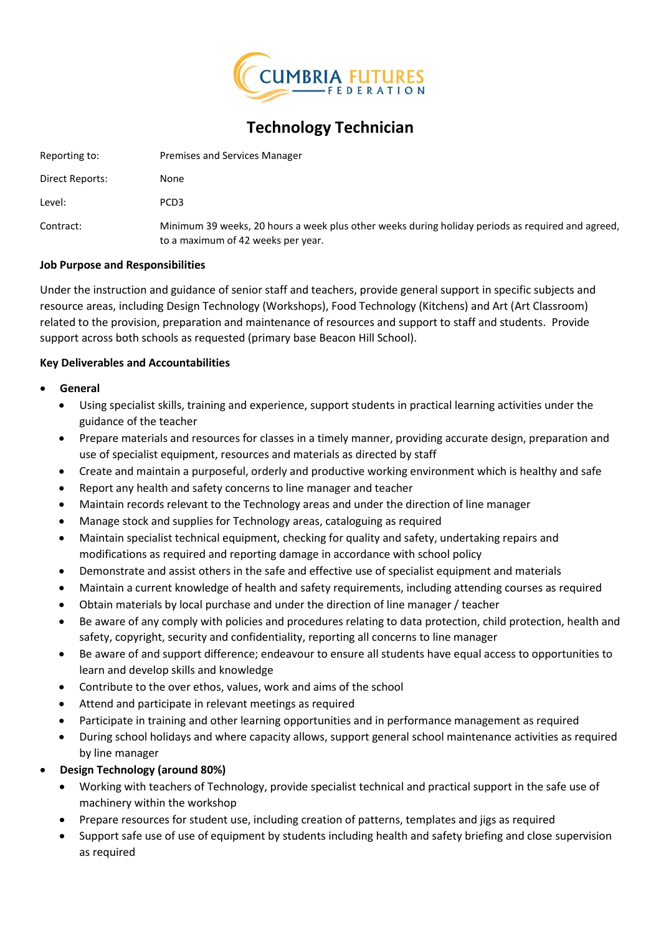

# **Technology Technician**

| Reporting to:   | Premises and Services Manager                                                                                                           |
|-----------------|-----------------------------------------------------------------------------------------------------------------------------------------|
| Direct Reports: | None                                                                                                                                    |
| Level:          | PCD <sub>3</sub>                                                                                                                        |
| Contract:       | Minimum 39 weeks, 20 hours a week plus other weeks during holiday periods as required and agreed,<br>to a maximum of 42 weeks per year. |

## **Job Purpose and Responsibilities**

Under the instruction and guidance of senior staff and teachers, provide general support in specific subjects and resource areas, including Design Technology (Workshops), Food Technology (Kitchens) and Art (Art Classroom) related to the provision, preparation and maintenance of resources and support to staff and students. Provide support across both schools as requested (primary base Beacon Hill School).

## **Key Deliverables and Accountabilities**

## • **General**

- Using specialist skills, training and experience, support students in practical learning activities under the guidance of the teacher
- Prepare materials and resources for classes in a timely manner, providing accurate design, preparation and use of specialist equipment, resources and materials as directed by staff
- Create and maintain a purposeful, orderly and productive working environment which is healthy and safe
- Report any health and safety concerns to line manager and teacher
- Maintain records relevant to the Technology areas and under the direction of line manager
- Manage stock and supplies for Technology areas, cataloguing as required
- Maintain specialist technical equipment, checking for quality and safety, undertaking repairs and modifications as required and reporting damage in accordance with school policy
- Demonstrate and assist others in the safe and effective use of specialist equipment and materials
- Maintain a current knowledge of health and safety requirements, including attending courses as required
- Obtain materials by local purchase and under the direction of line manager / teacher
- Be aware of any comply with policies and procedures relating to data protection, child protection, health and safety, copyright, security and confidentiality, reporting all concerns to line manager
- Be aware of and support difference; endeavour to ensure all students have equal access to opportunities to learn and develop skills and knowledge
- Contribute to the over ethos, values, work and aims of the school
- Attend and participate in relevant meetings as required
- Participate in training and other learning opportunities and in performance management as required
- During school holidays and where capacity allows, support general school maintenance activities as required by line manager

# • **Design Technology (around 80%)**

- Working with teachers of Technology, provide specialist technical and practical support in the safe use of machinery within the workshop
- Prepare resources for student use, including creation of patterns, templates and jigs as required
- Support safe use of use of equipment by students including health and safety briefing and close supervision as required